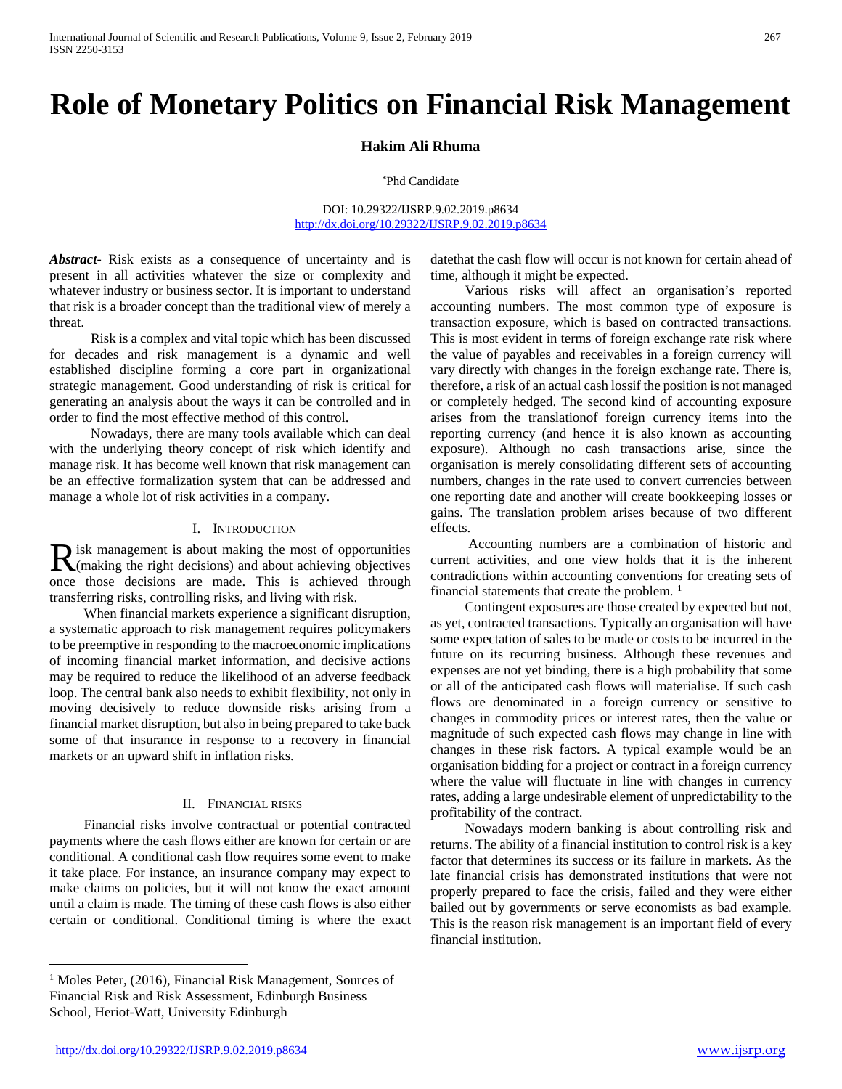# **Role of Monetary Politics on Financial Risk Management**

**Hakim Ali Rhuma** 

\*Phd Candidate

DOI: 10.29322/IJSRP.9.02.2019.p8634 <http://dx.doi.org/10.29322/IJSRP.9.02.2019.p8634>

*Abstract***-** Risk exists as a consequence of uncertainty and is present in all activities whatever the size or complexity and whatever industry or business sector. It is important to understand that risk is a broader concept than the traditional view of merely a threat.

 Risk is a complex and vital topic which has been discussed for decades and risk management is a dynamic and well established discipline forming a core part in organizational strategic management. Good understanding of risk is critical for generating an analysis about the ways it can be controlled and in order to find the most effective method of this control.

 Nowadays, there are many tools available which can deal with the underlying theory concept of risk which identify and manage risk. It has become well known that risk management can be an effective formalization system that can be addressed and manage a whole lot of risk activities in a company.

#### I. INTRODUCTION

isk management is about making the most of opportunities Risk management is about making the most of opportunities<br>(making the right decisions) and about achieving objectives once those decisions are made. This is achieved through transferring risks, controlling risks, and living with risk.

 When financial markets experience a significant disruption, a systematic approach to risk management requires policymakers to be preemptive in responding to the macroeconomic implications of incoming financial market information, and decisive actions may be required to reduce the likelihood of an adverse feedback loop. The central bank also needs to exhibit flexibility, not only in moving decisively to reduce downside risks arising from a financial market disruption, but also in being prepared to take back some of that insurance in response to a recovery in financial markets or an upward shift in inflation risks.

## II. FINANCIAL RISKS

 Financial risks involve contractual or potential contracted payments where the cash flows either are known for certain or are conditional. A conditional cash flow requires some event to make it take place. For instance, an insurance company may expect to make claims on policies, but it will not know the exact amount until a claim is made. The timing of these cash flows is also either certain or conditional. Conditional timing is where the exact

datethat the cash flow will occur is not known for certain ahead of time, although it might be expected.

 Various risks will affect an organisation's reported accounting numbers. The most common type of exposure is transaction exposure, which is based on contracted transactions. This is most evident in terms of foreign exchange rate risk where the value of payables and receivables in a foreign currency will vary directly with changes in the foreign exchange rate. There is, therefore, a risk of an actual cash lossif the position is not managed or completely hedged. The second kind of accounting exposure arises from the translationof foreign currency items into the reporting currency (and hence it is also known as accounting exposure). Although no cash transactions arise, since the organisation is merely consolidating different sets of accounting numbers, changes in the rate used to convert currencies between one reporting date and another will create bookkeeping losses or gains. The translation problem arises because of two different effects.

 Accounting numbers are a combination of historic and current activities, and one view holds that it is the inherent contradictions within accounting conventions for creating sets of financial statements that create the problem.  $<sup>1</sup>$  $<sup>1</sup>$  $<sup>1</sup>$ </sup>

 Contingent exposures are those created by expected but not, as yet, contracted transactions. Typically an organisation will have some expectation of sales to be made or costs to be incurred in the future on its recurring business. Although these revenues and expenses are not yet binding, there is a high probability that some or all of the anticipated cash flows will materialise. If such cash flows are denominated in a foreign currency or sensitive to changes in commodity prices or interest rates, then the value or magnitude of such expected cash flows may change in line with changes in these risk factors. A typical example would be an organisation bidding for a project or contract in a foreign currency where the value will fluctuate in line with changes in currency rates, adding a large undesirable element of unpredictability to the profitability of the contract.

 Nowadays modern banking is about controlling risk and returns. The ability of a financial institution to control risk is a key factor that determines its success or its failure in markets. As the late financial crisis has demonstrated institutions that were not properly prepared to face the crisis, failed and they were either bailed out by governments or serve economists as bad example. This is the reason risk management is an important field of every financial institution.

<span id="page-0-0"></span><sup>&</sup>lt;sup>1</sup> Moles Peter, (2016), Financial Risk Management, Sources of Financial Risk and Risk Assessment, Edinburgh Business School, Heriot-Watt, University Edinburgh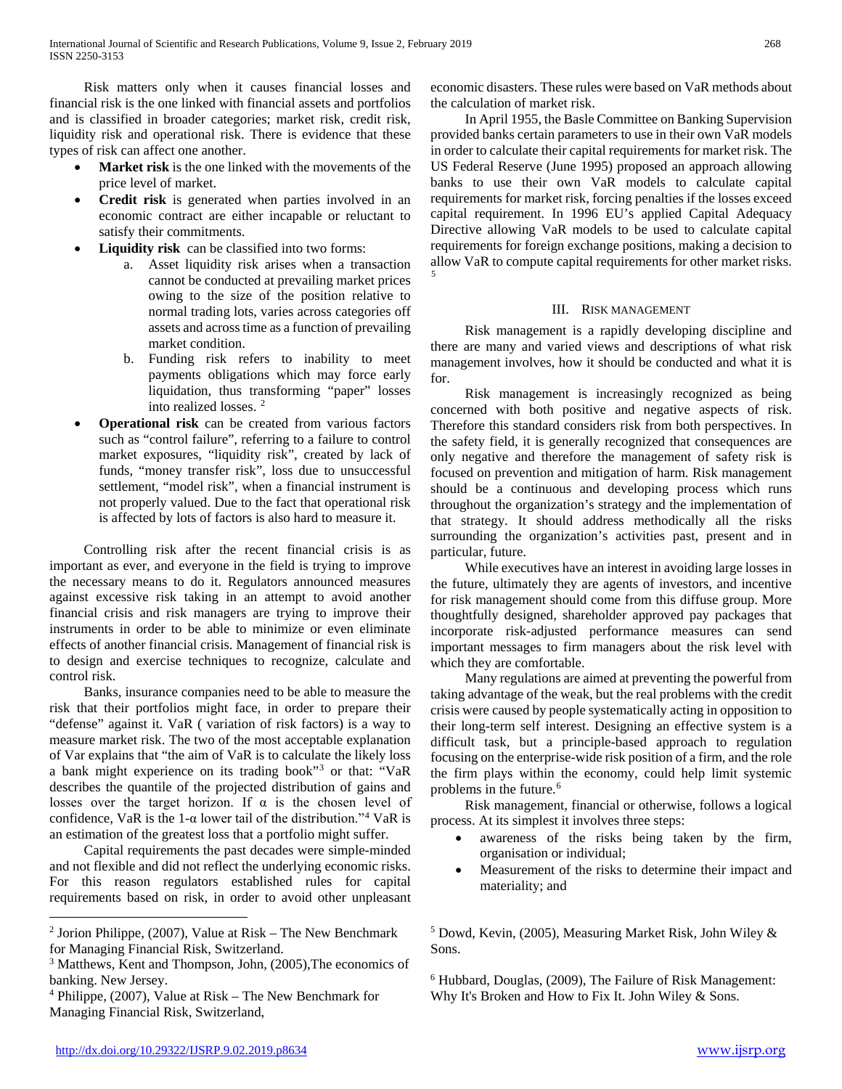Risk matters only when it causes financial losses and financial risk is the one linked with financial assets and portfolios and is classified in broader categories; market risk, credit risk, liquidity risk and operational risk. There is evidence that these types of risk can affect one another.

- **Market risk** is the one linked with the movements of the price level of market.
- **Credit risk** is generated when parties involved in an economic contract are either incapable or reluctant to satisfy their commitments.
- Liquidity risk can be classified into two forms:
	- a. Asset liquidity risk arises when a transaction cannot be conducted at prevailing market prices owing to the size of the position relative to normal trading lots, varies across categories off assets and across time as a function of prevailing market condition.
	- b. Funding risk refers to inability to meet payments obligations which may force early liquidation, thus transforming "paper" losses into realized losses. [2](#page-1-0)
- **Operational risk** can be created from various factors such as "control failure", referring to a failure to control market exposures, "liquidity risk", created by lack of funds, "money transfer risk", loss due to unsuccessful settlement, "model risk", when a financial instrument is not properly valued. Due to the fact that operational risk is affected by lots of factors is also hard to measure it.

 Controlling risk after the recent financial crisis is as important as ever, and everyone in the field is trying to improve the necessary means to do it. Regulators announced measures against excessive risk taking in an attempt to avoid another financial crisis and risk managers are trying to improve their instruments in order to be able to minimize or even eliminate effects of another financial crisis. Management of financial risk is to design and exercise techniques to recognize, calculate and control risk.

 Banks, insurance companies need to be able to measure the risk that their portfolios might face, in order to prepare their "defense" against it. VaR ( variation of risk factors) is a way to measure market risk. The two of the most acceptable explanation of Var explains that "the aim of VaR is to calculate the likely loss a bank might experience on its trading book"[3](#page-1-1) or that: "VaR describes the quantile of the projected distribution of gains and losses over the target horizon. If  $\alpha$  is the chosen level of confidence, VaR is the 1- $\alpha$  lower tail of the distribution."<sup>[4](#page-1-2)</sup> VaR is an estimation of the greatest loss that a portfolio might suffer.

 Capital requirements the past decades were simple-minded and not flexible and did not reflect the underlying economic risks. For this reason regulators established rules for capital requirements based on risk, in order to avoid other unpleasant economic disasters. These rules were based on VaR methods about the calculation of market risk.

 In April 1955, the Basle Committee on Banking Supervision provided banks certain parameters to use in their own VaR models in order to calculate their capital requirements for market risk. The US Federal Reserve (June 1995) proposed an approach allowing banks to use their own VaR models to calculate capital requirements for market risk, forcing penalties if the losses exceed capital requirement. In 1996 EU's applied Capital Adequacy Directive allowing VaR models to be used to calculate capital requirements for foreign exchange positions, making a decision to allow VaR to compute capital requirements for other market risks. [5](#page-1-0)

# III. RISK MANAGEMENT

 Risk management is a rapidly developing discipline and there are many and varied views and descriptions of what risk management involves, how it should be conducted and what it is for.

 Risk management is increasingly recognized as being concerned with both positive and negative aspects of risk. Therefore this standard considers risk from both perspectives. In the safety field, it is generally recognized that consequences are only negative and therefore the management of safety risk is focused on prevention and mitigation of harm. Risk management should be a continuous and developing process which runs throughout the organization's strategy and the implementation of that strategy. It should address methodically all the risks surrounding the organization's activities past, present and in particular, future.

 While executives have an interest in avoiding large losses in the future, ultimately they are agents of investors, and incentive for risk management should come from this diffuse group. More thoughtfully designed, shareholder approved pay packages that incorporate risk-adjusted performance measures can send important messages to firm managers about the risk level with which they are comfortable.

 Many regulations are aimed at preventing the powerful from taking advantage of the weak, but the real problems with the credit crisis were caused by people systematically acting in opposition to their long-term self interest. Designing an effective system is a difficult task, but a principle-based approach to regulation focusing on the enterprise-wide risk position of a firm, and the role the firm plays within the economy, could help limit systemic problems in the future.<sup>[6](#page-1-3)</sup>

 Risk management, financial or otherwise, follows a logical process. At its simplest it involves three steps:

- awareness of the risks being taken by the firm, organisation or individual;
- Measurement of the risks to determine their impact and materiality; and

 $5$  Dowd, Kevin, (2005), Measuring Market Risk, John Wiley  $\&$ Sons.

<sup>6</sup> Hubbard, Douglas, (2009), The Failure of Risk Management: Why It's Broken and How to Fix It. John Wiley & Sons.

<span id="page-1-0"></span> <sup>2</sup> Jorion Philippe, (2007), Value at Risk – The New Benchmark for Managing Financial Risk, Switzerland.

<span id="page-1-3"></span><span id="page-1-1"></span><sup>3</sup> Matthews, Kent and Thompson, John, (2005),The economics of banking. New Jersey.

<span id="page-1-2"></span> $4$  Philippe, (2007), Value at Risk – The New Benchmark for Managing Financial Risk, Switzerland,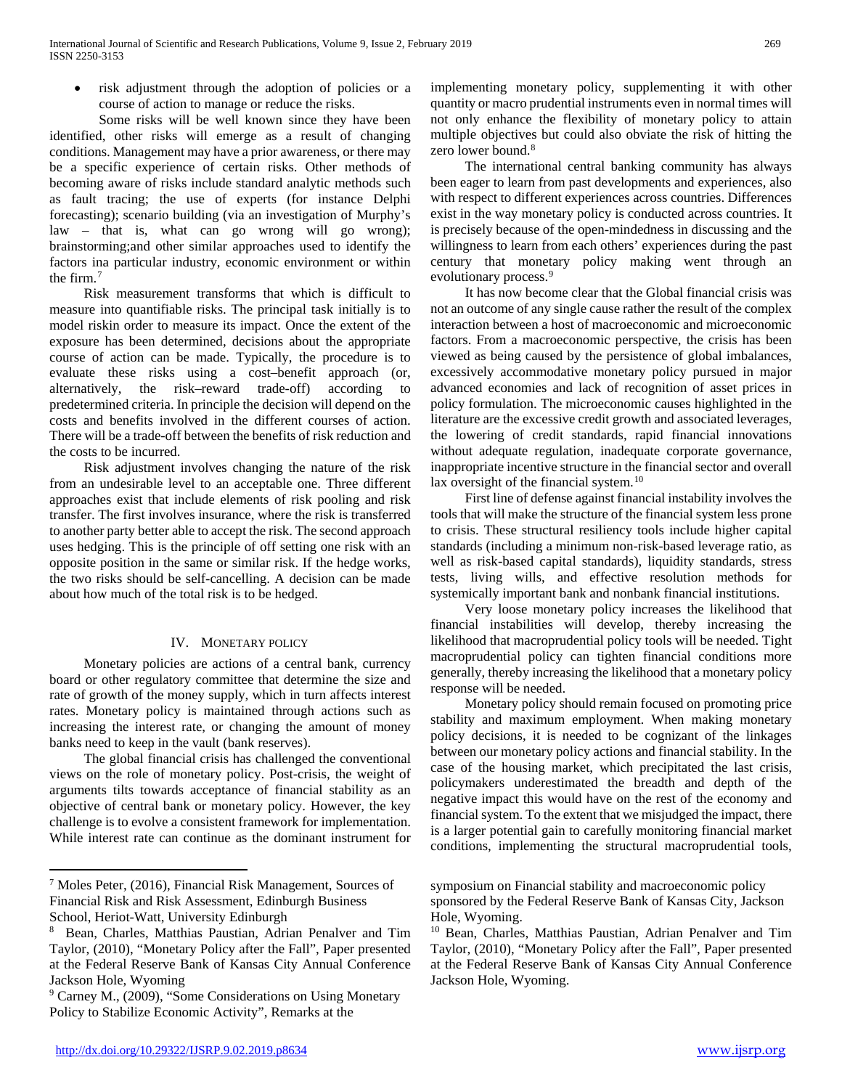• risk adjustment through the adoption of policies or a course of action to manage or reduce the risks.

Some risks will be well known since they have been identified, other risks will emerge as a result of changing conditions. Management may have a prior awareness, or there may be a specific experience of certain risks. Other methods of becoming aware of risks include standard analytic methods such as fault tracing; the use of experts (for instance Delphi forecasting); scenario building (via an investigation of Murphy's law – that is, what can go wrong will go wrong); brainstorming;and other similar approaches used to identify the factors ina particular industry, economic environment or within the firm.[7](#page-2-0)

 Risk measurement transforms that which is difficult to measure into quantifiable risks. The principal task initially is to model riskin order to measure its impact. Once the extent of the exposure has been determined, decisions about the appropriate course of action can be made. Typically, the procedure is to evaluate these risks using a cost–benefit approach (or, alternatively, the risk–reward trade-off) according to predetermined criteria. In principle the decision will depend on the costs and benefits involved in the different courses of action. There will be a trade-off between the benefits of risk reduction and the costs to be incurred.

 Risk adjustment involves changing the nature of the risk from an undesirable level to an acceptable one. Three different approaches exist that include elements of risk pooling and risk transfer. The first involves insurance, where the risk is transferred to another party better able to accept the risk. The second approach uses hedging. This is the principle of off setting one risk with an opposite position in the same or similar risk. If the hedge works, the two risks should be self-cancelling. A decision can be made about how much of the total risk is to be hedged.

# IV. MONETARY POLICY

 Monetary policies are actions of a central bank, currency board or other regulatory committee that determine the size and rate of growth of the money supply, which in turn affects interest rates. Monetary policy is maintained through actions such as increasing the interest rate, or changing the amount of money banks need to keep in the vault (bank reserves).

 The global financial crisis has challenged the conventional views on the role of monetary policy. Post-crisis, the weight of arguments tilts towards acceptance of financial stability as an objective of central bank or monetary policy. However, the key challenge is to evolve a consistent framework for implementation. While interest rate can continue as the dominant instrument for

implementing monetary policy, supplementing it with other quantity or macro prudential instruments even in normal times will not only enhance the flexibility of monetary policy to attain multiple objectives but could also obviate the risk of hitting the zero lower bound.<sup>[8](#page-2-1)</sup>

 The international central banking community has always been eager to learn from past developments and experiences, also with respect to different experiences across countries. Differences exist in the way monetary policy is conducted across countries. It is precisely because of the open-mindedness in discussing and the willingness to learn from each others' experiences during the past century that monetary policy making went through an evolutionary process.<sup>[9](#page-2-2)</sup>

 It has now become clear that the Global financial crisis was not an outcome of any single cause rather the result of the complex interaction between a host of macroeconomic and microeconomic factors. From a macroeconomic perspective, the crisis has been viewed as being caused by the persistence of global imbalances, excessively accommodative monetary policy pursued in major advanced economies and lack of recognition of asset prices in policy formulation. The microeconomic causes highlighted in the literature are the excessive credit growth and associated leverages, the lowering of credit standards, rapid financial innovations without adequate regulation, inadequate corporate governance, inappropriate incentive structure in the financial sector and overall lax oversight of the financial system.<sup>[10](#page-2-1)</sup>

 First line of defense against financial instability involves the tools that will make the structure of the financial system less prone to crisis. These structural resiliency tools include higher capital standards (including a minimum non-risk-based leverage ratio, as well as risk-based capital standards), liquidity standards, stress tests, living wills, and effective resolution methods for systemically important bank and nonbank financial institutions.

 Very loose monetary policy increases the likelihood that financial instabilities will develop, thereby increasing the likelihood that macroprudential policy tools will be needed. Tight macroprudential policy can tighten financial conditions more generally, thereby increasing the likelihood that a monetary policy response will be needed.

 Monetary policy should remain focused on promoting price stability and maximum employment. When making monetary policy decisions, it is needed to be cognizant of the linkages between our monetary policy actions and financial stability. In the case of the housing market, which precipitated the last crisis, policymakers underestimated the breadth and depth of the negative impact this would have on the rest of the economy and financial system. To the extent that we misjudged the impact, there is a larger potential gain to carefully monitoring financial market conditions, implementing the structural macroprudential tools,

<span id="page-2-0"></span> <sup>7</sup> Moles Peter, (2016), Financial Risk Management, Sources of Financial Risk and Risk Assessment, Edinburgh Business School, Heriot-Watt, University Edinburgh

<span id="page-2-1"></span><sup>8</sup> Bean, Charles, Matthias Paustian, Adrian Penalver and Tim Taylor, (2010), "Monetary Policy after the Fall", Paper presented at the Federal Reserve Bank of Kansas City Annual Conference Jackson Hole, Wyoming

<span id="page-2-2"></span><sup>9</sup> Carney M., (2009), "Some Considerations on Using Monetary Policy to Stabilize Economic Activity", Remarks at the

symposium on Financial stability and macroeconomic policy sponsored by the Federal Reserve Bank of Kansas City, Jackson Hole, Wyoming.

<sup>10</sup> Bean, Charles, Matthias Paustian, Adrian Penalver and Tim Taylor, (2010), "Monetary Policy after the Fall", Paper presented at the Federal Reserve Bank of Kansas City Annual Conference Jackson Hole, Wyoming.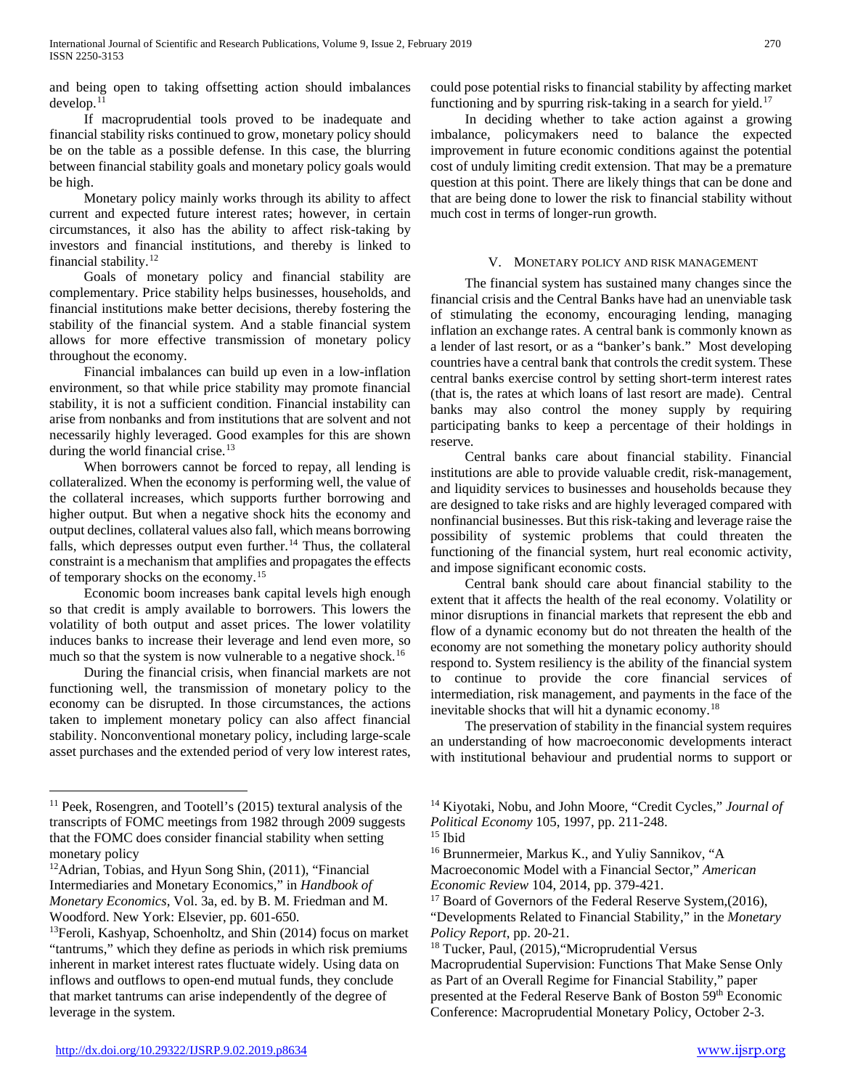and being open to taking offsetting action should imbalances develop.[11](#page-3-0)

 If macroprudential tools proved to be inadequate and financial stability risks continued to grow, monetary policy should be on the table as a possible defense. In this case, the blurring between financial stability goals and monetary policy goals would be high.

 Monetary policy mainly works through its ability to affect current and expected future interest rates; however, in certain circumstances, it also has the ability to affect risk-taking by investors and financial institutions, and thereby is linked to financial stability.[12](#page-3-1)

 Goals of monetary policy and financial stability are complementary. Price stability helps businesses, households, and financial institutions make better decisions, thereby fostering the stability of the financial system. And a stable financial system allows for more effective transmission of monetary policy throughout the economy.

 Financial imbalances can build up even in a low-inflation environment, so that while price stability may promote financial stability, it is not a sufficient condition. Financial instability can arise from nonbanks and from institutions that are solvent and not necessarily highly leveraged. Good examples for this are shown during the world financial crise.<sup>[13](#page-3-2)</sup>

 When borrowers cannot be forced to repay, all lending is collateralized. When the economy is performing well, the value of the collateral increases, which supports further borrowing and higher output. But when a negative shock hits the economy and output declines, collateral values also fall, which means borrowing falls, which depresses output even further.<sup>[14](#page-3-0)</sup> Thus, the collateral constraint is a mechanism that amplifies and propagates the effects of temporary shocks on the economy.[15](#page-3-3)

 Economic boom increases bank capital levels high enough so that credit is amply available to borrowers. This lowers the volatility of both output and asset prices. The lower volatility induces banks to increase their leverage and lend even more, so much so that the system is now vulnerable to a negative shock.<sup>[16](#page-3-4)</sup>

 During the financial crisis, when financial markets are not functioning well, the transmission of monetary policy to the economy can be disrupted. In those circumstances, the actions taken to implement monetary policy can also affect financial stability. Nonconventional monetary policy, including large-scale asset purchases and the extended period of very low interest rates, could pose potential risks to financial stability by affecting market functioning and by spurring risk-taking in a search for yield.<sup>[17](#page-3-5)</sup>

 In deciding whether to take action against a growing imbalance, policymakers need to balance the expected improvement in future economic conditions against the potential cost of unduly limiting credit extension. That may be a premature question at this point. There are likely things that can be done and that are being done to lower the risk to financial stability without much cost in terms of longer-run growth.

# V. MONETARY POLICY AND RISK MANAGEMENT

 The financial system has sustained many changes since the financial crisis and the Central Banks have had an unenviable task of stimulating the economy, encouraging lending, managing inflation an exchange rates. A central bank is commonly known as a lender of last resort, or as a "banker's bank." Most developing countries have a central bank that controls the credit system. These central banks exercise control by setting short-term interest rates (that is, the rates at which loans of last resort are made). Central banks may also control the money supply by requiring participating banks to keep a percentage of their holdings in reserve.

 Central banks care about financial stability. Financial institutions are able to provide valuable credit, risk-management, and liquidity services to businesses and households because they are designed to take risks and are highly leveraged compared with nonfinancial businesses. But this risk-taking and leverage raise the possibility of systemic problems that could threaten the functioning of the financial system, hurt real economic activity, and impose significant economic costs.

 Central bank should care about financial stability to the extent that it affects the health of the real economy. Volatility or minor disruptions in financial markets that represent the ebb and flow of a dynamic economy but do not threaten the health of the economy are not something the monetary policy authority should respond to. System resiliency is the ability of the financial system to continue to provide the core financial services of intermediation, risk management, and payments in the face of the inevitable shocks that will hit a dynamic economy.[18](#page-3-6)

 The preservation of stability in the financial system requires an understanding of how macroeconomic developments interact with institutional behaviour and prudential norms to support or

<span id="page-3-3"></span><span id="page-3-0"></span> <sup>11</sup> Peek, Rosengren, and Tootell's (2015) textural analysis of the transcripts of FOMC meetings from 1982 through 2009 suggests that the FOMC does consider financial stability when setting monetary policy

<span id="page-3-5"></span><span id="page-3-4"></span><span id="page-3-1"></span><sup>12</sup>Adrian, Tobias, and Hyun Song Shin, (2011), "Financial Intermediaries and Monetary Economics," in *Handbook of Monetary Economics*, Vol. 3a, ed. by B. M. Friedman and M. Woodford. New York: Elsevier, pp. 601-650.<br><sup>13</sup>Feroli, Kashyap, Schoenholtz, and Shin (2014) focus on market

<span id="page-3-6"></span><span id="page-3-2"></span><sup>&</sup>quot;tantrums," which they define as periods in which risk premiums inherent in market interest rates fluctuate widely. Using data on inflows and outflows to open-end mutual funds, they conclude that market tantrums can arise independently of the degree of leverage in the system.

<sup>14</sup> Kiyotaki, Nobu, and John Moore, "Credit Cycles," *Journal of* 

*Political Economy* 105, 1997, pp. 211-248.

<sup>15</sup> Ibid

<sup>16</sup> Brunnermeier, Markus K., and Yuliy Sannikov, "A

Macroeconomic Model with a Financial Sector," *American Economic Review* 104, 2014, pp. 379-421.

<sup>&</sup>lt;sup>17</sup> Board of Governors of the Federal Reserve System,(2016),

<sup>&</sup>quot;Developments Related to Financial Stability," in the *Monetary Policy Report*, pp. 20-21.

<sup>18</sup> Tucker, Paul, (2015),"Microprudential Versus Macroprudential Supervision: Functions That Make Sense Only as Part of an Overall Regime for Financial Stability," paper presented at the Federal Reserve Bank of Boston 59th Economic Conference: Macroprudential Monetary Policy, October 2-3.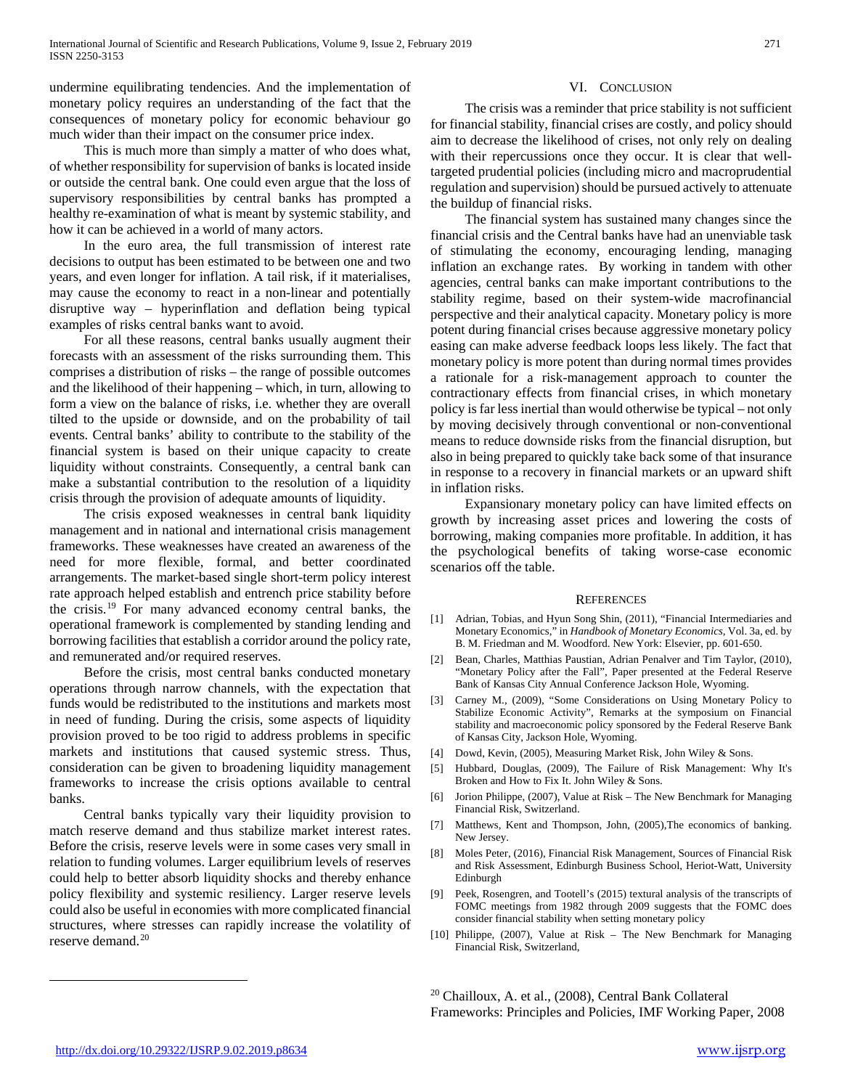undermine equilibrating tendencies. And the implementation of monetary policy requires an understanding of the fact that the consequences of monetary policy for economic behaviour go much wider than their impact on the consumer price index.

 This is much more than simply a matter of who does what, of whether responsibility for supervision of banks is located inside or outside the central bank. One could even argue that the loss of supervisory responsibilities by central banks has prompted a healthy re-examination of what is meant by systemic stability, and how it can be achieved in a world of many actors.

 In the euro area, the full transmission of interest rate decisions to output has been estimated to be between one and two years, and even longer for inflation. A tail risk, if it materialises, may cause the economy to react in a non-linear and potentially disruptive way – hyperinflation and deflation being typical examples of risks central banks want to avoid.

 For all these reasons, central banks usually augment their forecasts with an assessment of the risks surrounding them. This comprises a distribution of risks – the range of possible outcomes and the likelihood of their happening – which, in turn, allowing to form a view on the balance of risks, i.e. whether they are overall tilted to the upside or downside, and on the probability of tail events. Central banks' ability to contribute to the stability of the financial system is based on their unique capacity to create liquidity without constraints. Consequently, a central bank can make a substantial contribution to the resolution of a liquidity crisis through the provision of adequate amounts of liquidity.

 The crisis exposed weaknesses in central bank liquidity management and in national and international crisis management frameworks. These weaknesses have created an awareness of the need for more flexible, formal, and better coordinated arrangements. The market-based single short-term policy interest rate approach helped establish and entrench price stability before the crisis.[19](#page-4-0) For many advanced economy central banks, the operational framework is complemented by standing lending and borrowing facilities that establish a corridor around the policy rate, and remunerated and/or required reserves.

 Before the crisis, most central banks conducted monetary operations through narrow channels, with the expectation that funds would be redistributed to the institutions and markets most in need of funding. During the crisis, some aspects of liquidity provision proved to be too rigid to address problems in specific markets and institutions that caused systemic stress. Thus, consideration can be given to broadening liquidity management frameworks to increase the crisis options available to central banks.

 Central banks typically vary their liquidity provision to match reserve demand and thus stabilize market interest rates. Before the crisis, reserve levels were in some cases very small in relation to funding volumes. Larger equilibrium levels of reserves could help to better absorb liquidity shocks and thereby enhance policy flexibility and systemic resiliency. Larger reserve levels could also be useful in economies with more complicated financial structures, where stresses can rapidly increase the volatility of reserve demand.[20](#page-4-0)

### VI. CONCLUSION

 The crisis was a reminder that price stability is not sufficient for financial stability, financial crises are costly, and policy should aim to decrease the likelihood of crises, not only rely on dealing with their repercussions once they occur. It is clear that welltargeted prudential policies (including micro and macroprudential regulation and supervision) should be pursued actively to attenuate the buildup of financial risks.

 The financial system has sustained many changes since the financial crisis and the Central banks have had an unenviable task of stimulating the economy, encouraging lending, managing inflation an exchange rates. By working in tandem with other agencies, central banks can make important contributions to the stability regime, based on their system-wide macrofinancial perspective and their analytical capacity. Monetary policy is more potent during financial crises because aggressive monetary policy easing can make adverse feedback loops less likely. The fact that monetary policy is more potent than during normal times provides a rationale for a risk-management approach to counter the contractionary effects from financial crises, in which monetary policy is far less inertial than would otherwise be typical – not only by moving decisively through conventional or non-conventional means to reduce downside risks from the financial disruption, but also in being prepared to quickly take back some of that insurance in response to a recovery in financial markets or an upward shift in inflation risks.

 Expansionary monetary policy can have limited effects on growth by increasing asset prices and lowering the costs of borrowing, making companies more profitable. In addition, it has the psychological benefits of taking worse-case economic scenarios off the table.

#### **REFERENCES**

- [1] Adrian, Tobias, and Hyun Song Shin, (2011), "Financial Intermediaries and Monetary Economics," in *Handbook of Monetary Economics*, Vol. 3a, ed. by B. M. Friedman and M. Woodford. New York: Elsevier, pp. 601-650.
- [2] Bean, Charles, Matthias Paustian, Adrian Penalver and Tim Taylor, (2010), "Monetary Policy after the Fall", Paper presented at the Federal Reserve Bank of Kansas City Annual Conference Jackson Hole, Wyoming.
- [3] Carney M., (2009), "Some Considerations on Using Monetary Policy to Stabilize Economic Activity", Remarks at the symposium on Financial stability and macroeconomic policy sponsored by the Federal Reserve Bank of Kansas City, Jackson Hole, Wyoming.
- [4] Dowd, Kevin, (2005), Measuring Market Risk, John Wiley & Sons.
- [5] Hubbard, Douglas, (2009), The Failure of Risk Management: Why It's Broken and How to Fix It. John Wiley & Sons.
- [6] Jorion Philippe, (2007), Value at Risk The New Benchmark for Managing Financial Risk, Switzerland.
- [7] Matthews, Kent and Thompson, John, (2005),The economics of banking. New Jersey.
- [8] Moles Peter, (2016), Financial Risk Management, Sources of Financial Risk and Risk Assessment, Edinburgh Business School, Heriot-Watt, University Edinburgh
- [9] Peek, Rosengren, and Tootell's (2015) textural analysis of the transcripts of FOMC meetings from 1982 through 2009 suggests that the FOMC does consider financial stability when setting monetary policy
- [10] Philippe, (2007), Value at Risk The New Benchmark for Managing Financial Risk, Switzerland,

<sup>20</sup> Chailloux, A. et al., (2008), Central Bank Collateral Frameworks: Principles and Policies, IMF Working Paper, 2008

<span id="page-4-0"></span> $\overline{a}$